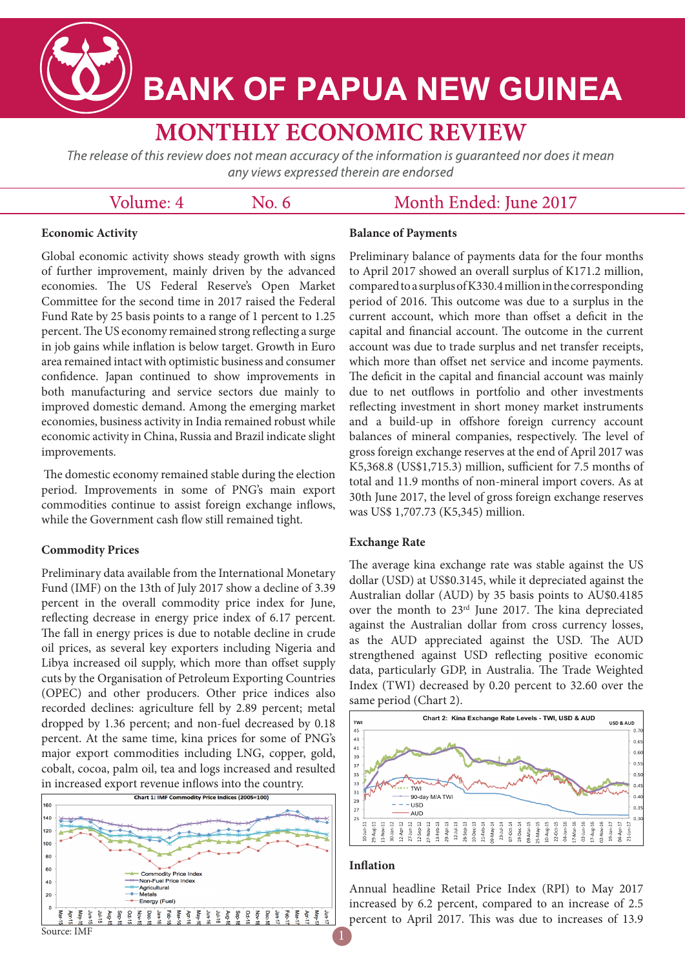# **BANK OF PAPUA NEW GUINEA**

# **MONTHLY ECONOMIC REVIEW**

The release of this review does not mean accuracy of the information is quaranteed nor does it mean any views expressed therein are endorsed

### Volume: 4

 $No. 6$ 

## Month Ended: June 2017

#### **Economic Activity**

Global economic activity shows steady growth with signs of further improvement, mainly driven by the advanced economies. The US Federal Reserve's Open Market Committee for the second time in 2017 raised the Federal Fund Rate by 25 basis points to a range of 1 percent to 1.25 percent. The US economy remained strong reflecting a surge in job gains while inflation is below target. Growth in Euro area remained intact with optimistic business and consumer confidence. Japan continued to show improvements in both manufacturing and service sectors due mainly to improved domestic demand. Among the emerging market economies, business activity in India remained robust while economic activity in China, Russia and Brazil indicate slight improvements.

The domestic economy remained stable during the election period. Improvements in some of PNG's main export commodities continue to assist foreign exchange inflows, while the Government cash flow still remained tight.

#### **Commodity Prices**

Preliminary data available from the International Monetary Fund (IMF) on the 13th of July 2017 show a decline of 3.39 percent in the overall commodity price index for June, reflecting decrease in energy price index of 6.17 percent. The fall in energy prices is due to notable decline in crude oil prices, as several key exporters including Nigeria and Libya increased oil supply, which more than offset supply cuts by the Organisation of Petroleum Exporting Countries (OPEC) and other producers. Other price indices also recorded declines: agriculture fell by 2.89 percent; metal dropped by 1.36 percent; and non-fuel decreased by 0.18 percent. At the same time, kina prices for some of PNG's major export commodities including LNG, copper, gold, cobalt, cocoa, palm oil, tea and logs increased and resulted



#### **Balance of Payments**

Preliminary balance of payments data for the four months to April 2017 showed an overall surplus of K171.2 million, compared to a surplus of K330.4 million in the corresponding period of 2016. This outcome was due to a surplus in the current account, which more than offset a deficit in the capital and financial account. The outcome in the current account was due to trade surplus and net transfer receipts, which more than offset net service and income payments. The deficit in the capital and financial account was mainly due to net outflows in portfolio and other investments reflecting investment in short money market instruments and a build-up in offshore foreign currency account balances of mineral companies, respectively. The level of gross foreign exchange reserves at the end of April 2017 was K5,368.8 (US\$1,715.3) million, sufficient for 7.5 months of total and 11.9 months of non-mineral import covers. As at 30th June 2017, the level of gross foreign exchange reserves was US\$ 1,707.73 (K5,345) million.

#### **Exchange Rate**

The average kina exchange rate was stable against the US dollar (USD) at US\$0.3145, while it depreciated against the Australian dollar (AUD) by 35 basis points to AU\$0.4185 over the month to 23rd June 2017. The kina depreciated against the Australian dollar from cross currency losses, as the AUD appreciated against the USD. The AUD strengthened against USD reflecting positive economic data, particularly GDP, in Australia. The Trade Weighted Index (TWI) decreased by 0.20 percent to 32.60 over the same period (Chart 2).



#### **Inflation**

Annual headline Retail Price Index (RPI) to May 2017 increased by 6.2 percent, compared to an increase of 2.5 percent to April 2017. This was due to increases of 13.9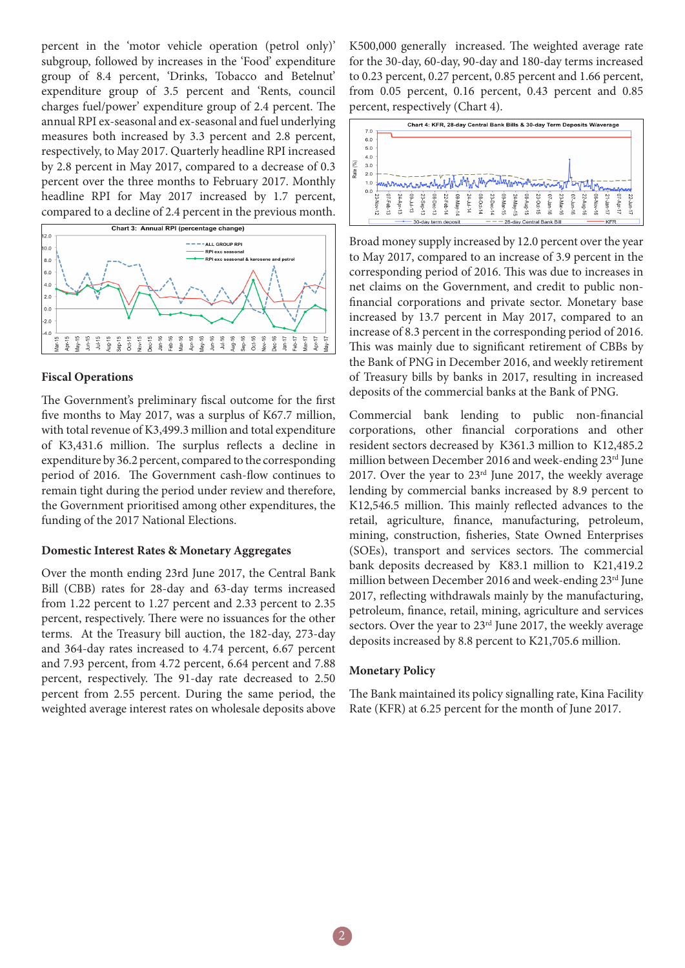percent in the 'motor vehicle operation (petrol only)' subgroup, followed by increases in the 'Food' expenditure group of 8.4 percent, 'Drinks, Tobacco and Betelnut' expenditure group of 3.5 percent and 'Rents, council charges fuel/power' expenditure group of 2.4 percent. The annual RPI ex-seasonal and ex-seasonal and fuel underlying measures both increased by 3.3 percent and 2.8 percent, respectively, to May 2017. Quarterly headline RPI increased by 2.8 percent in May 2017, compared to a decrease of 0.3 percent over the three months to February 2017. Monthly headline RPI for May 2017 increased by 1.7 percent, compared to a decline of 2.4 percent in the previous month.



#### **Fiscal Operations**

The Government's preliminary fiscal outcome for the first five months to May 2017, was a surplus of K67.7 million, with total revenue of K3,499.3 million and total expenditure of K3,431.6 million. The surplus reflects a decline in expenditure by 36.2 percent, compared to the corresponding period of 2016. The Government cash-flow continues to remain tight during the period under review and therefore, the Government prioritised among other expenditures, the funding of the 2017 National Elections.

#### **Domestic Interest Rates & Monetary Aggregates**

Over the month ending 23rd June 2017, the Central Bank Bill (CBB) rates for 28-day and 63-day terms increased from 1.22 percent to 1.27 percent and 2.33 percent to 2.35 percent, respectively. There were no issuances for the other terms. At the Treasury bill auction, the 182-day, 273-day and 364-day rates increased to 4.74 percent, 6.67 percent and 7.93 percent, from 4.72 percent, 6.64 percent and 7.88 percent, respectively. The 91-day rate decreased to 2.50 percent from 2.55 percent. During the same period, the weighted average interest rates on wholesale deposits above

K500,000 generally increased. The weighted average rate for the 30-day, 60-day, 90-day and 180-day terms increased to 0.23 percent, 0.27 percent, 0.85 percent and 1.66 percent, from 0.05 percent, 0.16 percent, 0.43 percent and 0.85 percent, respectively (Chart 4).



Broad money supply increased by 12.0 percent over the year to May 2017, compared to an increase of 3.9 percent in the corresponding period of 2016. This was due to increases in net claims on the Government, and credit to public nonfinancial corporations and private sector. Monetary base increased by 13.7 percent in May 2017, compared to an increase of 8.3 percent in the corresponding period of 2016. This was mainly due to significant retirement of CBBs by the Bank of PNG in December 2016, and weekly retirement of Treasury bills by banks in 2017, resulting in increased deposits of the commercial banks at the Bank of PNG.

Commercial bank lending to public non-financial corporations, other financial corporations and other resident sectors decreased by K361.3 million to K12,485.2 million between December 2016 and week-ending 23rd June 2017. Over the year to  $23<sup>rd</sup>$  June 2017, the weekly average lending by commercial banks increased by 8.9 percent to K12,546.5 million. This mainly reflected advances to the retail, agriculture, finance, manufacturing, petroleum, mining, construction, fisheries, State Owned Enterprises (SOEs), transport and services sectors. The commercial bank deposits decreased by K83.1 million to K21,419.2 million between December 2016 and week-ending 23rd June 2017, reflecting withdrawals mainly by the manufacturing, petroleum, finance, retail, mining, agriculture and services sectors. Over the year to 23<sup>rd</sup> June 2017, the weekly average deposits increased by 8.8 percent to K21,705.6 million.

#### **Monetary Policy**

The Bank maintained its policy signalling rate, Kina Facility Rate (KFR) at 6.25 percent for the month of June 2017.